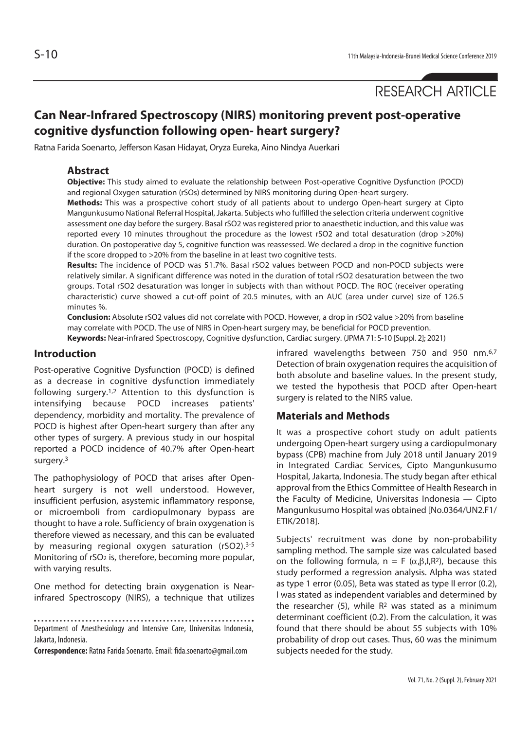# RESEARCH ARTICLE

# **Can Near-Infrared Spectroscopy (NIRS) monitoring prevent post-operative cognitive dysfunction following open- heart surgery?**

Ratna Farida Soenarto, Jefferson Kasan Hidayat, Oryza Eureka, Aino Nindya Auerkari

### **Abstract**

**Objective:** This study aimed to evaluate the relationship between Post-operative Cognitive Dysfunction (POCD) and regional Oxygen saturation (rSOs) determined by NIRS monitoring during Open-heart surgery.

**Methods:** This was a prospective cohort study of all patients about to undergo Open-heart surgery at Cipto Mangunkusumo National Referral Hospital, Jakarta. Subjects who fulfilled the selection criteria underwent cognitive assessment one day before the surgery. Basal rSO2 was registered prior to anaesthetic induction, and this value was reported every 10 minutes throughout the procedure as the lowest rSO2 and total desaturation (drop >20%) duration. On postoperative day 5, cognitive function was reassessed. We declared a drop in the cognitive function if the score dropped to >20% from the baseline in at least two cognitive tests.

**Results:** The incidence of POCD was 51.7%. Basal rSO2 values between POCD and non-POCD subjects were relatively similar. A significant difference was noted in the duration of total rSO2 desaturation between the two groups. Total rSO2 desaturation was longer in subjects with than without POCD. The ROC (receiver operating characteristic) curve showed a cut-off point of 20.5 minutes, with an AUC (area under curve) size of 126.5 minutes %.

**Conclusion:** Absolute rSO2 values did not correlate with POCD. However, a drop in rSO2 value >20% from baseline may correlate with POCD. The use of NIRS in Open-heart surgery may, be beneficial for POCD prevention. **Keywords:** Near-infrared Spectroscopy, Cognitive dysfunction, Cardiac surgery. (JPMA 71: S-10 [Suppl. 2]; 2021)

#### **Introduction**

Post-operative Cognitive Dysfunction (POCD) is defined as a decrease in cognitive dysfunction immediately following surgery.1,2 Attention to this dysfunction is intensifying because POCD increases patients' dependency, morbidity and mortality. The prevalence of POCD is highest after Open-heart surgery than after any other types of surgery. A previous study in our hospital reported a POCD incidence of 40.7% after Open-heart surgery.3

The pathophysiology of POCD that arises after Openheart surgery is not well understood. However, insufficient perfusion, asystemic inflammatory response, or microemboli from cardiopulmonary bypass are thought to have a role. Sufficiency of brain oxygenation is therefore viewed as necessary, and this can be evaluated by measuring regional oxygen saturation (rSO2).<sup>3-5</sup> Monitoring of rSO2 is, therefore, becoming more popular, with varying results.

One method for detecting brain oxygenation is Nearinfrared Spectroscopy (NIRS), a technique that utilizes

Department of Anesthesiology and Intensive Care, Universitas Indonesia, Jakarta, Indonesia.

**Correspondence:** Ratna Farida Soenarto. Email: fida.soenarto@gmail.com

infrared wavelengths between 750 and 950 nm.6,7 Detection of brain oxygenation requires the acquisition of both absolute and baseline values. In the present study, we tested the hypothesis that POCD after Open-heart surgery is related to the NIRS value.

## **Materials and Methods**

It was a prospective cohort study on adult patients undergoing Open-heart surgery using a cardiopulmonary bypass (CPB) machine from July 2018 until January 2019 in Integrated Cardiac Services, Cipto Mangunkusumo Hospital, Jakarta, Indonesia. The study began after ethical approval from the Ethics Committee of Health Research in the Faculty of Medicine, Universitas Indonesia — Cipto Mangunkusumo Hospital was obtained [No.0364/UN2.F1/ ETIK/2018].

Subjects' recruitment was done by non-probability sampling method. The sample size was calculated based on the following formula,  $n = F(\alpha, \beta, I, R^2)$ , because this study performed a regression analysis. Alpha was stated as type 1 error (0.05), Beta was stated as type II error (0.2), I was stated as independent variables and determined by the researcher (5), while  $R<sup>2</sup>$  was stated as a minimum determinant coefficient (0.2). From the calculation, it was found that there should be about 55 subjects with 10% probability of drop out cases. Thus, 60 was the minimum subjects needed for the study.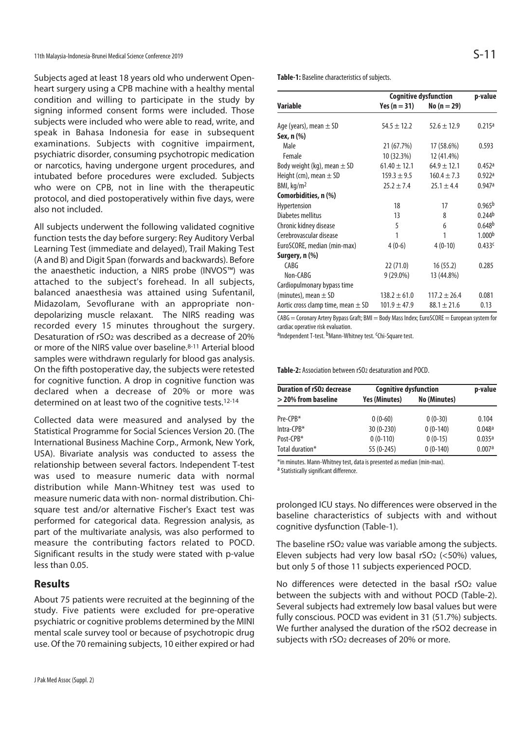Subjects aged at least 18 years old who underwent Openheart surgery using a CPB machine with a healthy mental condition and willing to participate in the study by signing informed consent forms were included. Those subjects were included who were able to read, write, and speak in Bahasa Indonesia for ease in subsequent examinations. Subjects with cognitive impairment, psychiatric disorder, consuming psychotropic medication or narcotics, having undergone urgent procedures, and intubated before procedures were excluded. Subjects who were on CPB, not in line with the therapeutic protocol, and died postoperatively within five days, were also not included.

All subjects underwent the following validated cognitive function tests the day before surgery: Rey Auditory Verbal Learning Test (immediate and delayed), Trail Making Test (A and B) and Digit Span (forwards and backwards). Before the anaesthetic induction, a NIRS probe (INVOS™) was attached to the subject's forehead. In all subjects, balanced anaesthesia was attained using Sufentanil, Midazolam, Sevoflurane with an appropriate nondepolarizing muscle relaxant. The NIRS reading was recorded every 15 minutes throughout the surgery. Desaturation of rSO2 was described as a decrease of 20% or more of the NIRS value over baseline.8-11 Arterial blood samples were withdrawn regularly for blood gas analysis. On the fifth postoperative day, the subjects were retested for cognitive function. A drop in cognitive function was declared when a decrease of 20% or more was determined on at least two of the cognitive tests.12-14

Collected data were measured and analysed by the Statistical Programme for Social Sciences Version 20. (The International Business Machine Corp., Armonk, New York, USA). Bivariate analysis was conducted to assess the relationship between several factors. Independent T-test was used to measure numeric data with normal distribution while Mann-Whitney test was used to measure numeric data with non- normal distribution. Chisquare test and/or alternative Fischer's Exact test was performed for categorical data. Regression analysis, as part of the multivariate analysis, was also performed to measure the contributing factors related to POCD. Significant results in the study were stated with p-value less than 0.05.

#### **Results**

About 75 patients were recruited at the beginning of the study. Five patients were excluded for pre-operative psychiatric or cognitive problems determined by the MINI mental scale survey tool or because of psychotropic drug use. Of the 70 remaining subjects, 10 either expired or had

**Table-1:** Baseline characteristics of subjects.

|                                        | <b>Cognitive dysfunction</b> |                  | p-value            |
|----------------------------------------|------------------------------|------------------|--------------------|
| <b>Variable</b>                        | Yes ( $n = 31$ )             | $No (n = 29)$    |                    |
|                                        |                              |                  |                    |
| Age (years), mean $\pm$ SD             | $54.5 \pm 12.2$              | $52.6 \pm 12.9$  | 0.215a             |
| Sex, n (%)                             |                              |                  |                    |
| Male                                   | 21 (67.7%)                   | 17 (58.6%)       | 0.593              |
| Female                                 | 10 (32.3%)                   | 12 (41.4%)       |                    |
| Body weight (kg), mean $\pm$ SD        | $61.40 \pm 12.1$             | $64.9 \pm 12.1$  | 0.452a             |
| Height (cm), mean $\pm$ SD             | $159.3 \pm 9.5$              | $160.4 \pm 7.3$  | 0.922a             |
| BMI, kq/m <sup>2</sup>                 | $25.2 \pm 7.4$               | $25.1 \pm 4.4$   | 0.947a             |
| Comorbidities, n (%)                   |                              |                  |                    |
| Hypertension                           | 18                           | 17               | 0.965 <sup>b</sup> |
| Diabetes mellitus                      | 13                           | 8                | 0.244 <sup>b</sup> |
| Chronic kidney disease                 | 5                            | 6                | 0.648 <sup>b</sup> |
| Cerebrovascular disease                | 1                            | 1                | 1.000 <sup>b</sup> |
| EuroSCORE, median (min-max)            | $4(0-6)$                     | $4(0-10)$        | 0.433c             |
| Surgery, n (%)                         |                              |                  |                    |
| CABG                                   | 22 (71.0)                    | 16(55.2)         | 0.285              |
| Non-CABG                               | $9(29.0\%)$                  | 13 (44.8%)       |                    |
| Cardiopulmonary bypass time            |                              |                  |                    |
| (minutes), mean $\pm$ SD               | $138.2 \pm 61.0$             | $117.2 \pm 26.4$ | 0.081              |
| Aortic cross clamp time, mean $\pm$ SD | $101.9 \pm 47.9$             | $88.1 \pm 21.6$  | 0.13               |

CABG = Coronary Artery Bypass Graft; BMI = Body Mass Index; EuroSCORE = European system for cardiac operative risk evaluation.

<sup>a</sup>Independent T-test. <sup>b</sup>Mann-Whitney test. <sup>c</sup>Chi-Square test.

**Table-2:** Association between rSO2 desaturation and POCD.

| <b>Duration of rSO<sub>2</sub></b> decrease | <b>Cognitive dysfunction</b> |              | p-value |
|---------------------------------------------|------------------------------|--------------|---------|
| $>$ 20% from baseline                       | Yes (Minutes)                | No (Minutes) |         |
| $Pre-CPR*$                                  | $0(0-60)$                    | $0(0-30)$    | 0.104   |
| $Intra-CPB*$                                | $30(0-230)$                  | $0(0-140)$   | 0.048a  |
| Post-CPB*                                   | $0(0-110)$                   | $0(0-15)$    | 0.035a  |
| Total duration*                             | 55 (0-245)                   | $0(0-140)$   | 0.007a  |

\*in minutes. Mann-Whitney test, data is presented as median (min-max). a Statistically significant difference.

prolonged ICU stays. No differences were observed in the baseline characteristics of subjects with and without cognitive dysfunction (Table-1).

The baseline rSO2 value was variable among the subjects. Eleven subjects had very low basal rSO2 (<50%) values, but only 5 of those 11 subjects experienced POCD.

No differences were detected in the basal rSO<sub>2</sub> value between the subjects with and without POCD (Table-2). Several subjects had extremely low basal values but were fully conscious. POCD was evident in 31 (51.7%) subjects. We further analysed the duration of the rSO2 decrease in subjects with rSO2 decreases of 20% or more.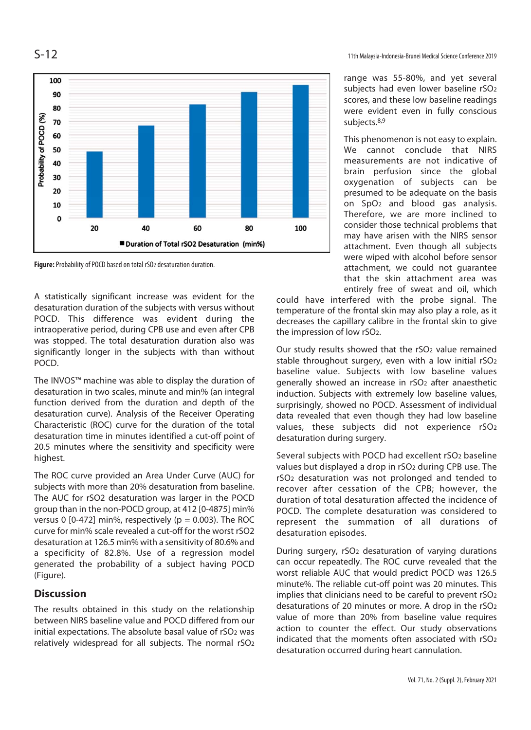



Figure: Probability of POCD based on total rSO<sub>2</sub> desaturation duration.

A statistically significant increase was evident for the desaturation duration of the subjects with versus without POCD. This difference was evident during the intraoperative period, during CPB use and even after CPB was stopped. The total desaturation duration also was significantly longer in the subjects with than without POCD.

The INVOS™ machine was able to display the duration of desaturation in two scales, minute and min% (an integral function derived from the duration and depth of the desaturation curve). Analysis of the Receiver Operating Characteristic (ROC) curve for the duration of the total desaturation time in minutes identified a cut-off point of 20.5 minutes where the sensitivity and specificity were highest.

The ROC curve provided an Area Under Curve (AUC) for subjects with more than 20% desaturation from baseline. The AUC for rSO2 desaturation was larger in the POCD group than in the non-POCD group, at 412 [0-4875] min% versus 0 [0-472] min%, respectively ( $p = 0.003$ ). The ROC curve for min% scale revealed a cut-off for the worst rSO2 desaturation at 126.5 min% with a sensitivity of 80.6% and a specificity of 82.8%. Use of a regression model generated the probability of a subject having POCD (Figure).

# **Discussion**

The results obtained in this study on the relationship between NIRS baseline value and POCD differed from our initial expectations. The absolute basal value of rSO<sub>2</sub> was relatively widespread for all subjects. The normal rSO2 range was 55-80%, and yet several subjects had even lower baseline rSO2 scores, and these low baseline readings were evident even in fully conscious subjects.8,9

This phenomenon is not easy to explain. We cannot conclude that NIRS measurements are not indicative of brain perfusion since the global oxygenation of subjects can be presumed to be adequate on the basis on SpO2 and blood gas analysis. Therefore, we are more inclined to consider those technical problems that may have arisen with the NIRS sensor attachment. Even though all subjects were wiped with alcohol before sensor attachment, we could not guarantee that the skin attachment area was entirely free of sweat and oil, which

could have interfered with the probe signal. The temperature of the frontal skin may also play a role, as it decreases the capillary calibre in the frontal skin to give the impression of low rSO2.

Our study results showed that the rSO2 value remained stable throughout surgery, even with a low initial rSO2 baseline value. Subjects with low baseline values generally showed an increase in rSO2 after anaesthetic induction. Subjects with extremely low baseline values, surprisingly, showed no POCD. Assessment of individual data revealed that even though they had low baseline values, these subjects did not experience rSO2 desaturation during surgery.

Several subjects with POCD had excellent rSO2 baseline values but displayed a drop in rSO2 during CPB use. The rSO2 desaturation was not prolonged and tended to recover after cessation of the CPB; however, the duration of total desaturation affected the incidence of POCD. The complete desaturation was considered to represent the summation of all durations of desaturation episodes.

During surgery, rSO2 desaturation of varying durations can occur repeatedly. The ROC curve revealed that the worst reliable AUC that would predict POCD was 126.5 minute%. The reliable cut-off point was 20 minutes. This implies that clinicians need to be careful to prevent rSO2 desaturations of 20 minutes or more. A drop in the rSO2 value of more than 20% from baseline value requires action to counter the effect. Our study observations indicated that the moments often associated with rSO2 desaturation occurred during heart cannulation.